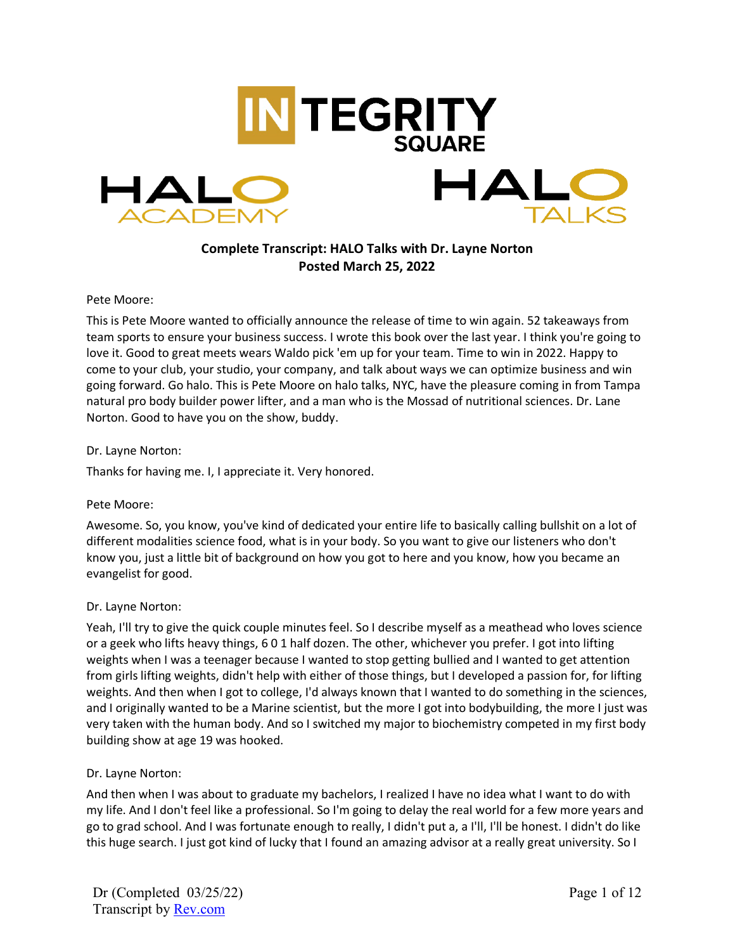

# **Complete Transcript: HALO Talks with Dr. Layne Norton Posted March 25, 2022**

#### Pete Moore:

This is Pete Moore wanted to officially announce the release of time to win again. 52 takeaways from team sports to ensure your business success. I wrote this book over the last year. I think you're going to love it. Good to great meets wears Waldo pick 'em up for your team. Time to win in 2022. Happy to come to your club, your studio, your company, and talk about ways we can optimize business and win going forward. Go halo. This is Pete Moore on halo talks, NYC, have the pleasure coming in from Tampa natural pro body builder power lifter, and a man who is the Mossad of nutritional sciences. Dr. Lane Norton. Good to have you on the show, buddy.

#### Dr. Layne Norton:

Thanks for having me. I, I appreciate it. Very honored.

## Pete Moore:

Awesome. So, you know, you've kind of dedicated your entire life to basically calling bullshit on a lot of different modalities science food, what is in your body. So you want to give our listeners who don't know you, just a little bit of background on how you got to here and you know, how you became an evangelist for good.

## Dr. Layne Norton:

Yeah, I'll try to give the quick couple minutes feel. So I describe myself as a meathead who loves science or a geek who lifts heavy things, 6 0 1 half dozen. The other, whichever you prefer. I got into lifting weights when I was a teenager because I wanted to stop getting bullied and I wanted to get attention from girls lifting weights, didn't help with either of those things, but I developed a passion for, for lifting weights. And then when I got to college, I'd always known that I wanted to do something in the sciences, and I originally wanted to be a Marine scientist, but the more I got into bodybuilding, the more I just was very taken with the human body. And so I switched my major to biochemistry competed in my first body building show at age 19 was hooked.

## Dr. Layne Norton:

And then when I was about to graduate my bachelors, I realized I have no idea what I want to do with my life. And I don't feel like a professional. So I'm going to delay the real world for a few more years and go to grad school. And I was fortunate enough to really, I didn't put a, a I'll, I'll be honest. I didn't do like this huge search. I just got kind of lucky that I found an amazing advisor at a really great university. So I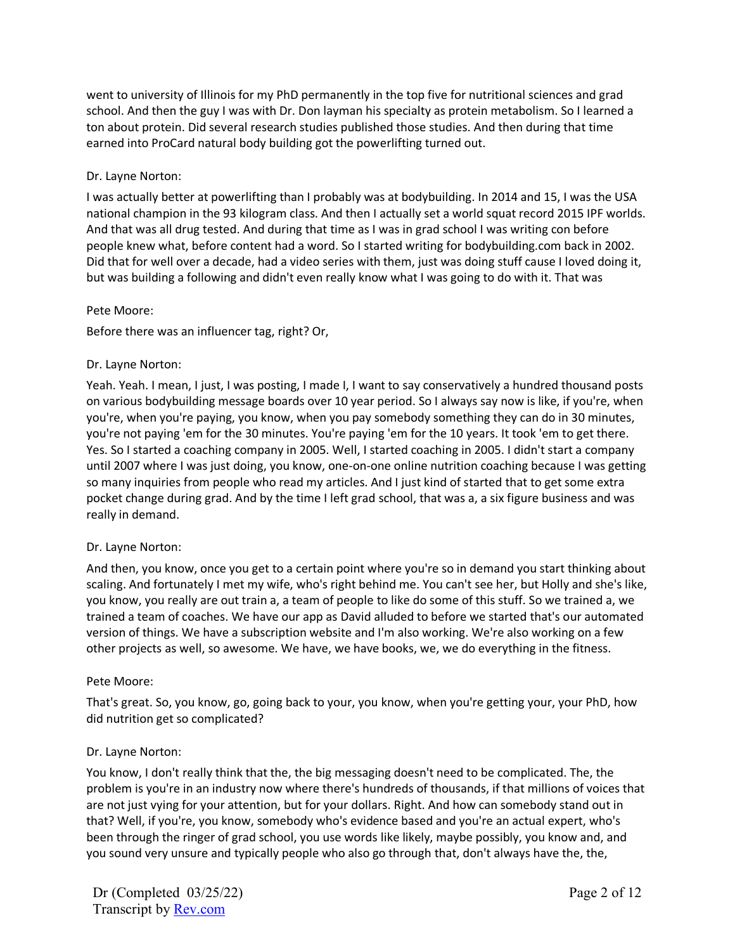went to university of Illinois for my PhD permanently in the top five for nutritional sciences and grad school. And then the guy I was with Dr. Don layman his specialty as protein metabolism. So I learned a ton about protein. Did several research studies published those studies. And then during that time earned into ProCard natural body building got the powerlifting turned out.

# Dr. Layne Norton:

I was actually better at powerlifting than I probably was at bodybuilding. In 2014 and 15, I was the USA national champion in the 93 kilogram class. And then I actually set a world squat record 2015 IPF worlds. And that was all drug tested. And during that time as I was in grad school I was writing con before people knew what, before content had a word. So I started writing for bodybuilding.com back in 2002. Did that for well over a decade, had a video series with them, just was doing stuff cause I loved doing it, but was building a following and didn't even really know what I was going to do with it. That was

## Pete Moore:

Before there was an influencer tag, right? Or,

## Dr. Layne Norton:

Yeah. Yeah. I mean, I just, I was posting, I made I, I want to say conservatively a hundred thousand posts on various bodybuilding message boards over 10 year period. So I always say now is like, if you're, when you're, when you're paying, you know, when you pay somebody something they can do in 30 minutes, you're not paying 'em for the 30 minutes. You're paying 'em for the 10 years. It took 'em to get there. Yes. So I started a coaching company in 2005. Well, I started coaching in 2005. I didn't start a company until 2007 where I was just doing, you know, one-on-one online nutrition coaching because I was getting so many inquiries from people who read my articles. And I just kind of started that to get some extra pocket change during grad. And by the time I left grad school, that was a, a six figure business and was really in demand.

## Dr. Layne Norton:

And then, you know, once you get to a certain point where you're so in demand you start thinking about scaling. And fortunately I met my wife, who's right behind me. You can't see her, but Holly and she's like, you know, you really are out train a, a team of people to like do some of this stuff. So we trained a, we trained a team of coaches. We have our app as David alluded to before we started that's our automated version of things. We have a subscription website and I'm also working. We're also working on a few other projects as well, so awesome. We have, we have books, we, we do everything in the fitness.

## Pete Moore:

That's great. So, you know, go, going back to your, you know, when you're getting your, your PhD, how did nutrition get so complicated?

## Dr. Layne Norton:

You know, I don't really think that the, the big messaging doesn't need to be complicated. The, the problem is you're in an industry now where there's hundreds of thousands, if that millions of voices that are not just vying for your attention, but for your dollars. Right. And how can somebody stand out in that? Well, if you're, you know, somebody who's evidence based and you're an actual expert, who's been through the ringer of grad school, you use words like likely, maybe possibly, you know and, and you sound very unsure and typically people who also go through that, don't always have the, the,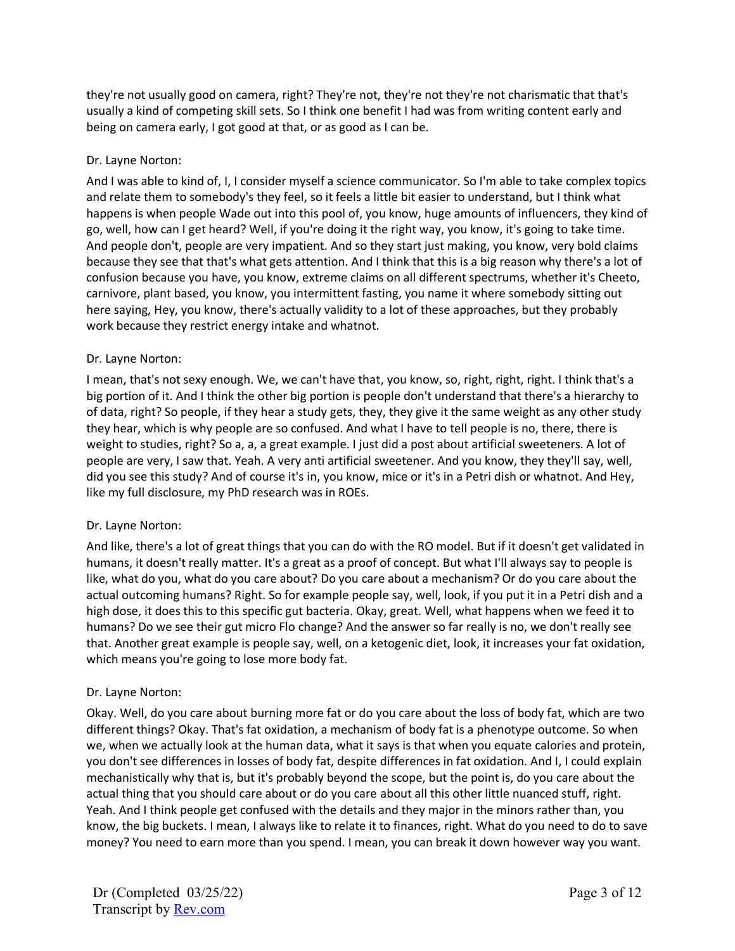they're not usually good on camera, right? They're not, they're not they're not charismatic that that's usually a kind of competing skill sets. So I think one benefit I had was from writing content early and being on camera early, I got good at that, or as good as I can be.

# Dr. Layne Norton:

And I was able to kind of, I, I consider myself a science communicator. So I'm able to take complex topics and relate them to somebody's they feel, so it feels a little bit easier to understand, but I think what happens is when people Wade out into this pool of, you know, huge amounts of influencers, they kind of go, well, how can I get heard? Well, if you're doing it the right way, you know, it's going to take time. And people don't, people are very impatient. And so they start just making, you know, very bold claims because they see that that's what gets attention. And I think that this is a big reason why there's a lot of confusion because you have, you know, extreme claims on all different spectrums, whether it's Cheeto, carnivore, plant based, you know, you intermittent fasting, you name it where somebody sitting out here saying, Hey, you know, there's actually validity to a lot of these approaches, but they probably work because they restrict energy intake and whatnot.

# Dr. Layne Norton:

I mean, that's not sexy enough. We, we can't have that, you know, so, right, right, right. I think that's a big portion of it. And I think the other big portion is people don't understand that there's a hierarchy to of data, right? So people, if they hear a study gets, they, they give it the same weight as any other study they hear, which is why people are so confused. And what I have to tell people is no, there, there is weight to studies, right? So a, a, a great example. I just did a post about artificial sweeteners. A lot of people are very, I saw that. Yeah. A very anti artificial sweetener. And you know, they they'll say, well, did you see this study? And of course it's in, you know, mice or it's in a Petri dish or whatnot. And Hey, like my full disclosure, my PhD research was in ROEs.

## Dr. Layne Norton:

And like, there's a lot of great things that you can do with the RO model. But if it doesn't get validated in humans, it doesn't really matter. It's a great as a proof of concept. But what I'll always say to people is like, what do you, what do you care about? Do you care about a mechanism? Or do you care about the actual outcoming humans? Right. So for example people say, well, look, if you put it in a Petri dish and a high dose, it does this to this specific gut bacteria. Okay, great. Well, what happens when we feed it to humans? Do we see their gut micro Flo change? And the answer so far really is no, we don't really see that. Another great example is people say, well, on a ketogenic diet, look, it increases your fat oxidation, which means you're going to lose more body fat.

## Dr. Layne Norton:

Okay. Well, do you care about burning more fat or do you care about the loss of body fat, which are two different things? Okay. That's fat oxidation, a mechanism of body fat is a phenotype outcome. So when we, when we actually look at the human data, what it says is that when you equate calories and protein, you don't see differences in losses of body fat, despite differences in fat oxidation. And I, I could explain mechanistically why that is, but it's probably beyond the scope, but the point is, do you care about the actual thing that you should care about or do you care about all this other little nuanced stuff, right. Yeah. And I think people get confused with the details and they major in the minors rather than, you know, the big buckets. I mean, I always like to relate it to finances, right. What do you need to do to save money? You need to earn more than you spend. I mean, you can break it down however way you want.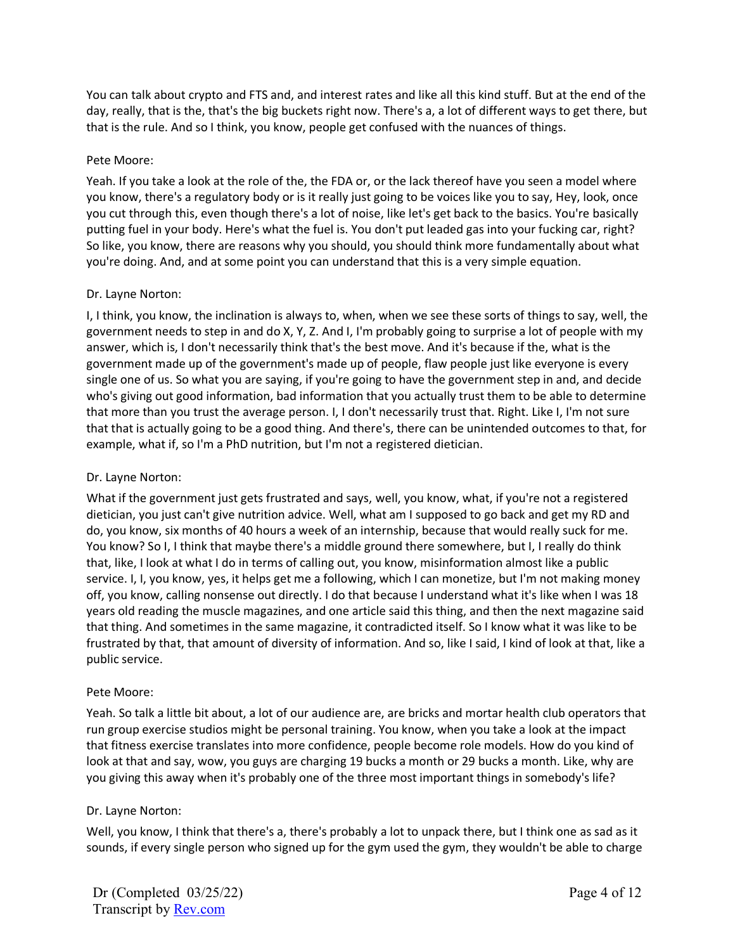You can talk about crypto and FTS and, and interest rates and like all this kind stuff. But at the end of the day, really, that is the, that's the big buckets right now. There's a, a lot of different ways to get there, but that is the rule. And so I think, you know, people get confused with the nuances of things.

## Pete Moore:

Yeah. If you take a look at the role of the, the FDA or, or the lack thereof have you seen a model where you know, there's a regulatory body or is it really just going to be voices like you to say, Hey, look, once you cut through this, even though there's a lot of noise, like let's get back to the basics. You're basically putting fuel in your body. Here's what the fuel is. You don't put leaded gas into your fucking car, right? So like, you know, there are reasons why you should, you should think more fundamentally about what you're doing. And, and at some point you can understand that this is a very simple equation.

# Dr. Layne Norton:

I, I think, you know, the inclination is always to, when, when we see these sorts of things to say, well, the government needs to step in and do X, Y, Z. And I, I'm probably going to surprise a lot of people with my answer, which is, I don't necessarily think that's the best move. And it's because if the, what is the government made up of the government's made up of people, flaw people just like everyone is every single one of us. So what you are saying, if you're going to have the government step in and, and decide who's giving out good information, bad information that you actually trust them to be able to determine that more than you trust the average person. I, I don't necessarily trust that. Right. Like I, I'm not sure that that is actually going to be a good thing. And there's, there can be unintended outcomes to that, for example, what if, so I'm a PhD nutrition, but I'm not a registered dietician.

# Dr. Layne Norton:

What if the government just gets frustrated and says, well, you know, what, if you're not a registered dietician, you just can't give nutrition advice. Well, what am I supposed to go back and get my RD and do, you know, six months of 40 hours a week of an internship, because that would really suck for me. You know? So I, I think that maybe there's a middle ground there somewhere, but I, I really do think that, like, I look at what I do in terms of calling out, you know, misinformation almost like a public service. I, I, you know, yes, it helps get me a following, which I can monetize, but I'm not making money off, you know, calling nonsense out directly. I do that because I understand what it's like when I was 18 years old reading the muscle magazines, and one article said this thing, and then the next magazine said that thing. And sometimes in the same magazine, it contradicted itself. So I know what it was like to be frustrated by that, that amount of diversity of information. And so, like I said, I kind of look at that, like a public service.

## Pete Moore:

Yeah. So talk a little bit about, a lot of our audience are, are bricks and mortar health club operators that run group exercise studios might be personal training. You know, when you take a look at the impact that fitness exercise translates into more confidence, people become role models. How do you kind of look at that and say, wow, you guys are charging 19 bucks a month or 29 bucks a month. Like, why are you giving this away when it's probably one of the three most important things in somebody's life?

## Dr. Layne Norton:

Well, you know, I think that there's a, there's probably a lot to unpack there, but I think one as sad as it sounds, if every single person who signed up for the gym used the gym, they wouldn't be able to charge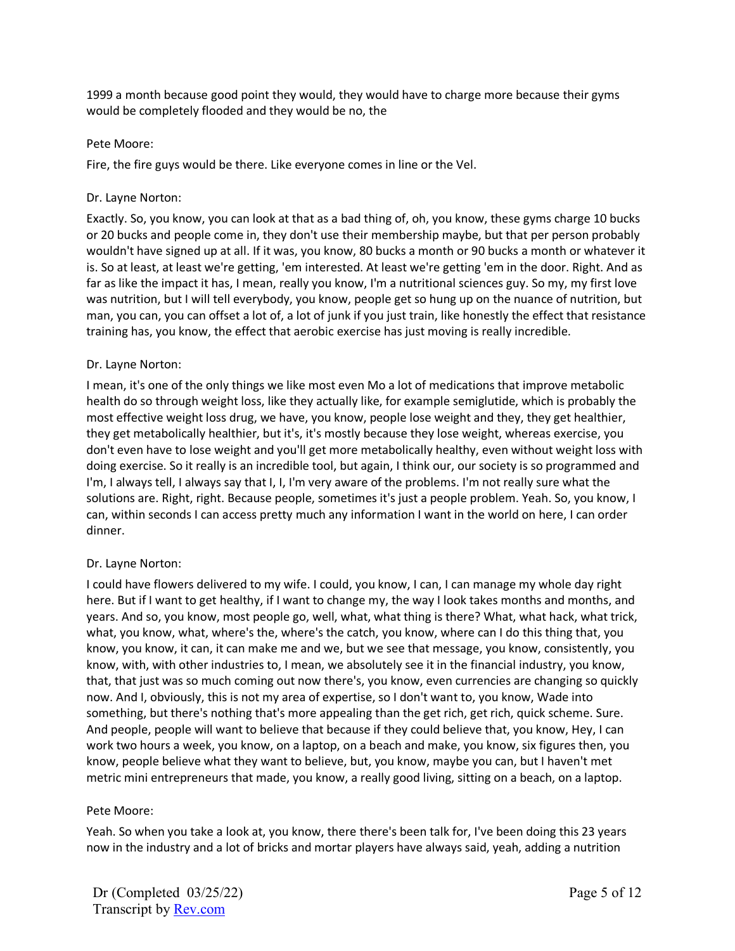1999 a month because good point they would, they would have to charge more because their gyms would be completely flooded and they would be no, the

### Pete Moore:

Fire, the fire guys would be there. Like everyone comes in line or the Vel.

## Dr. Layne Norton:

Exactly. So, you know, you can look at that as a bad thing of, oh, you know, these gyms charge 10 bucks or 20 bucks and people come in, they don't use their membership maybe, but that per person probably wouldn't have signed up at all. If it was, you know, 80 bucks a month or 90 bucks a month or whatever it is. So at least, at least we're getting, 'em interested. At least we're getting 'em in the door. Right. And as far as like the impact it has, I mean, really you know, I'm a nutritional sciences guy. So my, my first love was nutrition, but I will tell everybody, you know, people get so hung up on the nuance of nutrition, but man, you can, you can offset a lot of, a lot of junk if you just train, like honestly the effect that resistance training has, you know, the effect that aerobic exercise has just moving is really incredible.

## Dr. Layne Norton:

I mean, it's one of the only things we like most even Mo a lot of medications that improve metabolic health do so through weight loss, like they actually like, for example semiglutide, which is probably the most effective weight loss drug, we have, you know, people lose weight and they, they get healthier, they get metabolically healthier, but it's, it's mostly because they lose weight, whereas exercise, you don't even have to lose weight and you'll get more metabolically healthy, even without weight loss with doing exercise. So it really is an incredible tool, but again, I think our, our society is so programmed and I'm, I always tell, I always say that I, I, I'm very aware of the problems. I'm not really sure what the solutions are. Right, right. Because people, sometimes it's just a people problem. Yeah. So, you know, I can, within seconds I can access pretty much any information I want in the world on here, I can order dinner.

## Dr. Layne Norton:

I could have flowers delivered to my wife. I could, you know, I can, I can manage my whole day right here. But if I want to get healthy, if I want to change my, the way I look takes months and months, and years. And so, you know, most people go, well, what, what thing is there? What, what hack, what trick, what, you know, what, where's the, where's the catch, you know, where can I do this thing that, you know, you know, it can, it can make me and we, but we see that message, you know, consistently, you know, with, with other industries to, I mean, we absolutely see it in the financial industry, you know, that, that just was so much coming out now there's, you know, even currencies are changing so quickly now. And I, obviously, this is not my area of expertise, so I don't want to, you know, Wade into something, but there's nothing that's more appealing than the get rich, get rich, quick scheme. Sure. And people, people will want to believe that because if they could believe that, you know, Hey, I can work two hours a week, you know, on a laptop, on a beach and make, you know, six figures then, you know, people believe what they want to believe, but, you know, maybe you can, but I haven't met metric mini entrepreneurs that made, you know, a really good living, sitting on a beach, on a laptop.

#### Pete Moore:

Yeah. So when you take a look at, you know, there there's been talk for, I've been doing this 23 years now in the industry and a lot of bricks and mortar players have always said, yeah, adding a nutrition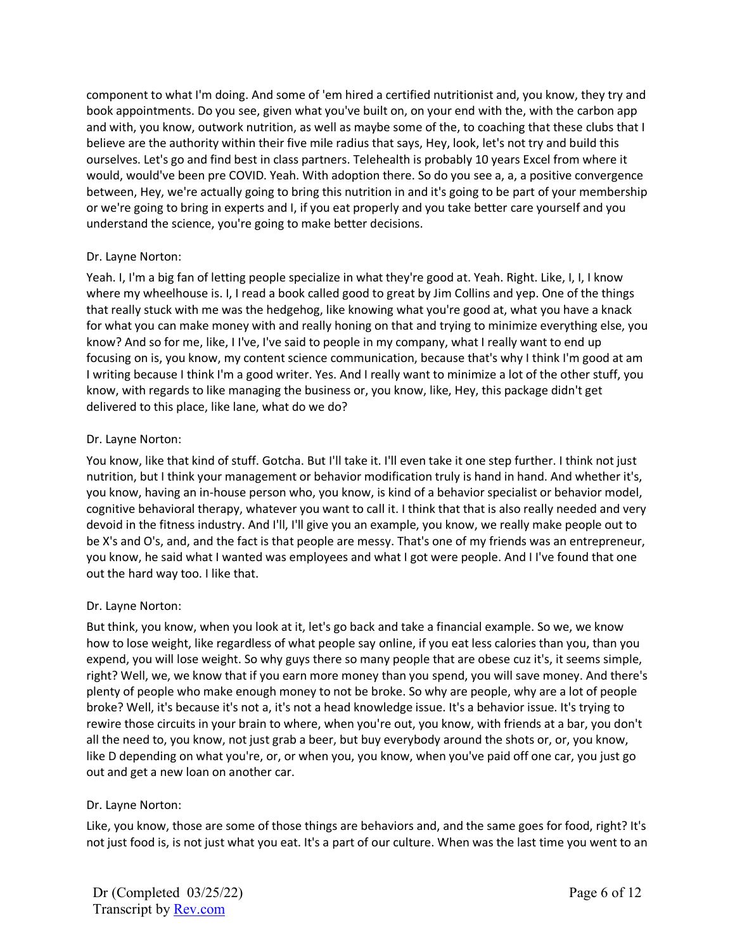component to what I'm doing. And some of 'em hired a certified nutritionist and, you know, they try and book appointments. Do you see, given what you've built on, on your end with the, with the carbon app and with, you know, outwork nutrition, as well as maybe some of the, to coaching that these clubs that I believe are the authority within their five mile radius that says, Hey, look, let's not try and build this ourselves. Let's go and find best in class partners. Telehealth is probably 10 years Excel from where it would, would've been pre COVID. Yeah. With adoption there. So do you see a, a, a positive convergence between, Hey, we're actually going to bring this nutrition in and it's going to be part of your membership or we're going to bring in experts and I, if you eat properly and you take better care yourself and you understand the science, you're going to make better decisions.

# Dr. Layne Norton:

Yeah. I, I'm a big fan of letting people specialize in what they're good at. Yeah. Right. Like, I, I, I know where my wheelhouse is. I, I read a book called good to great by Jim Collins and yep. One of the things that really stuck with me was the hedgehog, like knowing what you're good at, what you have a knack for what you can make money with and really honing on that and trying to minimize everything else, you know? And so for me, like, I I've, I've said to people in my company, what I really want to end up focusing on is, you know, my content science communication, because that's why I think I'm good at am I writing because I think I'm a good writer. Yes. And I really want to minimize a lot of the other stuff, you know, with regards to like managing the business or, you know, like, Hey, this package didn't get delivered to this place, like lane, what do we do?

# Dr. Layne Norton:

You know, like that kind of stuff. Gotcha. But I'll take it. I'll even take it one step further. I think not just nutrition, but I think your management or behavior modification truly is hand in hand. And whether it's, you know, having an in-house person who, you know, is kind of a behavior specialist or behavior model, cognitive behavioral therapy, whatever you want to call it. I think that that is also really needed and very devoid in the fitness industry. And I'll, I'll give you an example, you know, we really make people out to be X's and O's, and, and the fact is that people are messy. That's one of my friends was an entrepreneur, you know, he said what I wanted was employees and what I got were people. And I I've found that one out the hard way too. I like that.

# Dr. Layne Norton:

But think, you know, when you look at it, let's go back and take a financial example. So we, we know how to lose weight, like regardless of what people say online, if you eat less calories than you, than you expend, you will lose weight. So why guys there so many people that are obese cuz it's, it seems simple, right? Well, we, we know that if you earn more money than you spend, you will save money. And there's plenty of people who make enough money to not be broke. So why are people, why are a lot of people broke? Well, it's because it's not a, it's not a head knowledge issue. It's a behavior issue. It's trying to rewire those circuits in your brain to where, when you're out, you know, with friends at a bar, you don't all the need to, you know, not just grab a beer, but buy everybody around the shots or, or, you know, like D depending on what you're, or, or when you, you know, when you've paid off one car, you just go out and get a new loan on another car.

# Dr. Layne Norton:

Like, you know, those are some of those things are behaviors and, and the same goes for food, right? It's not just food is, is not just what you eat. It's a part of our culture. When was the last time you went to an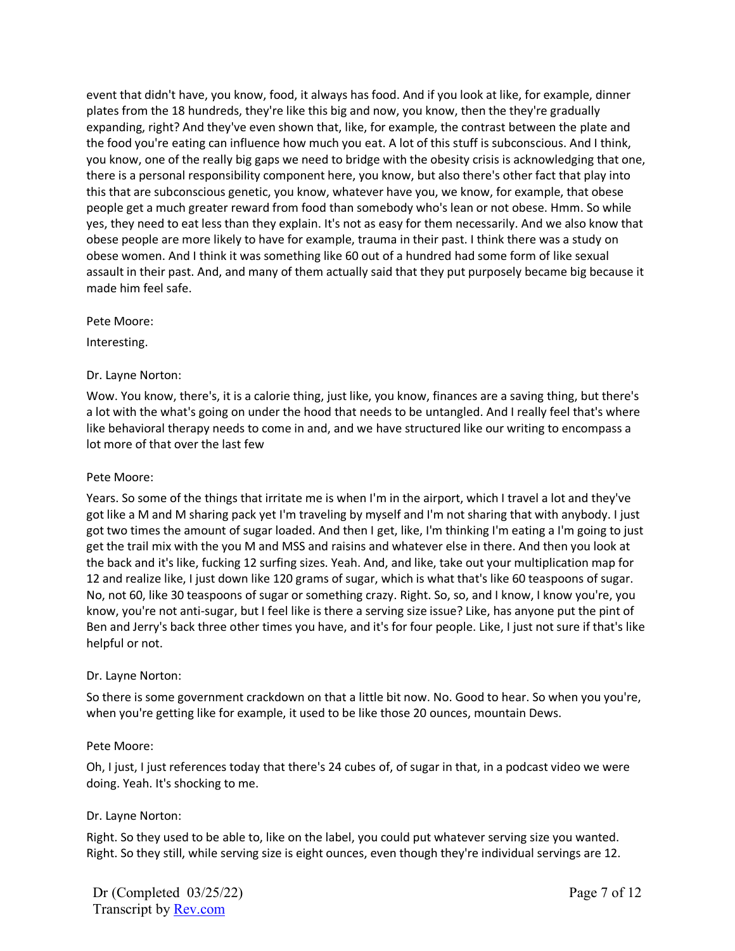event that didn't have, you know, food, it always has food. And if you look at like, for example, dinner plates from the 18 hundreds, they're like this big and now, you know, then the they're gradually expanding, right? And they've even shown that, like, for example, the contrast between the plate and the food you're eating can influence how much you eat. A lot of this stuff is subconscious. And I think, you know, one of the really big gaps we need to bridge with the obesity crisis is acknowledging that one, there is a personal responsibility component here, you know, but also there's other fact that play into this that are subconscious genetic, you know, whatever have you, we know, for example, that obese people get a much greater reward from food than somebody who's lean or not obese. Hmm. So while yes, they need to eat less than they explain. It's not as easy for them necessarily. And we also know that obese people are more likely to have for example, trauma in their past. I think there was a study on obese women. And I think it was something like 60 out of a hundred had some form of like sexual assault in their past. And, and many of them actually said that they put purposely became big because it made him feel safe.

#### Pete Moore:

Interesting.

## Dr. Layne Norton:

Wow. You know, there's, it is a calorie thing, just like, you know, finances are a saving thing, but there's a lot with the what's going on under the hood that needs to be untangled. And I really feel that's where like behavioral therapy needs to come in and, and we have structured like our writing to encompass a lot more of that over the last few

### Pete Moore:

Years. So some of the things that irritate me is when I'm in the airport, which I travel a lot and they've got like a M and M sharing pack yet I'm traveling by myself and I'm not sharing that with anybody. I just got two times the amount of sugar loaded. And then I get, like, I'm thinking I'm eating a I'm going to just get the trail mix with the you M and MSS and raisins and whatever else in there. And then you look at the back and it's like, fucking 12 surfing sizes. Yeah. And, and like, take out your multiplication map for 12 and realize like, I just down like 120 grams of sugar, which is what that's like 60 teaspoons of sugar. No, not 60, like 30 teaspoons of sugar or something crazy. Right. So, so, and I know, I know you're, you know, you're not anti-sugar, but I feel like is there a serving size issue? Like, has anyone put the pint of Ben and Jerry's back three other times you have, and it's for four people. Like, I just not sure if that's like helpful or not.

## Dr. Layne Norton:

So there is some government crackdown on that a little bit now. No. Good to hear. So when you you're, when you're getting like for example, it used to be like those 20 ounces, mountain Dews.

## Pete Moore:

Oh, I just, I just references today that there's 24 cubes of, of sugar in that, in a podcast video we were doing. Yeah. It's shocking to me.

## Dr. Layne Norton:

Right. So they used to be able to, like on the label, you could put whatever serving size you wanted. Right. So they still, while serving size is eight ounces, even though they're individual servings are 12.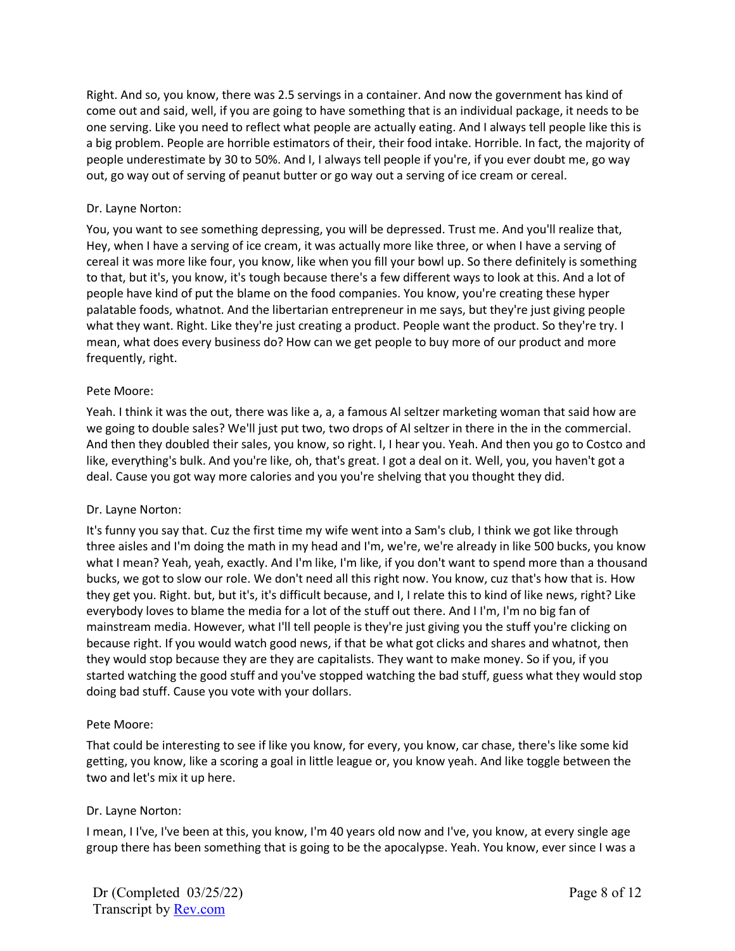Right. And so, you know, there was 2.5 servings in a container. And now the government has kind of come out and said, well, if you are going to have something that is an individual package, it needs to be one serving. Like you need to reflect what people are actually eating. And I always tell people like this is a big problem. People are horrible estimators of their, their food intake. Horrible. In fact, the majority of people underestimate by 30 to 50%. And I, I always tell people if you're, if you ever doubt me, go way out, go way out of serving of peanut butter or go way out a serving of ice cream or cereal.

## Dr. Layne Norton:

You, you want to see something depressing, you will be depressed. Trust me. And you'll realize that, Hey, when I have a serving of ice cream, it was actually more like three, or when I have a serving of cereal it was more like four, you know, like when you fill your bowl up. So there definitely is something to that, but it's, you know, it's tough because there's a few different ways to look at this. And a lot of people have kind of put the blame on the food companies. You know, you're creating these hyper palatable foods, whatnot. And the libertarian entrepreneur in me says, but they're just giving people what they want. Right. Like they're just creating a product. People want the product. So they're try. I mean, what does every business do? How can we get people to buy more of our product and more frequently, right.

#### Pete Moore:

Yeah. I think it was the out, there was like a, a, a famous Al seltzer marketing woman that said how are we going to double sales? We'll just put two, two drops of Al seltzer in there in the in the commercial. And then they doubled their sales, you know, so right. I, I hear you. Yeah. And then you go to Costco and like, everything's bulk. And you're like, oh, that's great. I got a deal on it. Well, you, you haven't got a deal. Cause you got way more calories and you you're shelving that you thought they did.

## Dr. Layne Norton:

It's funny you say that. Cuz the first time my wife went into a Sam's club, I think we got like through three aisles and I'm doing the math in my head and I'm, we're, we're already in like 500 bucks, you know what I mean? Yeah, yeah, exactly. And I'm like, I'm like, if you don't want to spend more than a thousand bucks, we got to slow our role. We don't need all this right now. You know, cuz that's how that is. How they get you. Right. but, but it's, it's difficult because, and I, I relate this to kind of like news, right? Like everybody loves to blame the media for a lot of the stuff out there. And I I'm, I'm no big fan of mainstream media. However, what I'll tell people is they're just giving you the stuff you're clicking on because right. If you would watch good news, if that be what got clicks and shares and whatnot, then they would stop because they are they are capitalists. They want to make money. So if you, if you started watching the good stuff and you've stopped watching the bad stuff, guess what they would stop doing bad stuff. Cause you vote with your dollars.

#### Pete Moore:

That could be interesting to see if like you know, for every, you know, car chase, there's like some kid getting, you know, like a scoring a goal in little league or, you know yeah. And like toggle between the two and let's mix it up here.

## Dr. Layne Norton:

I mean, I I've, I've been at this, you know, I'm 40 years old now and I've, you know, at every single age group there has been something that is going to be the apocalypse. Yeah. You know, ever since I was a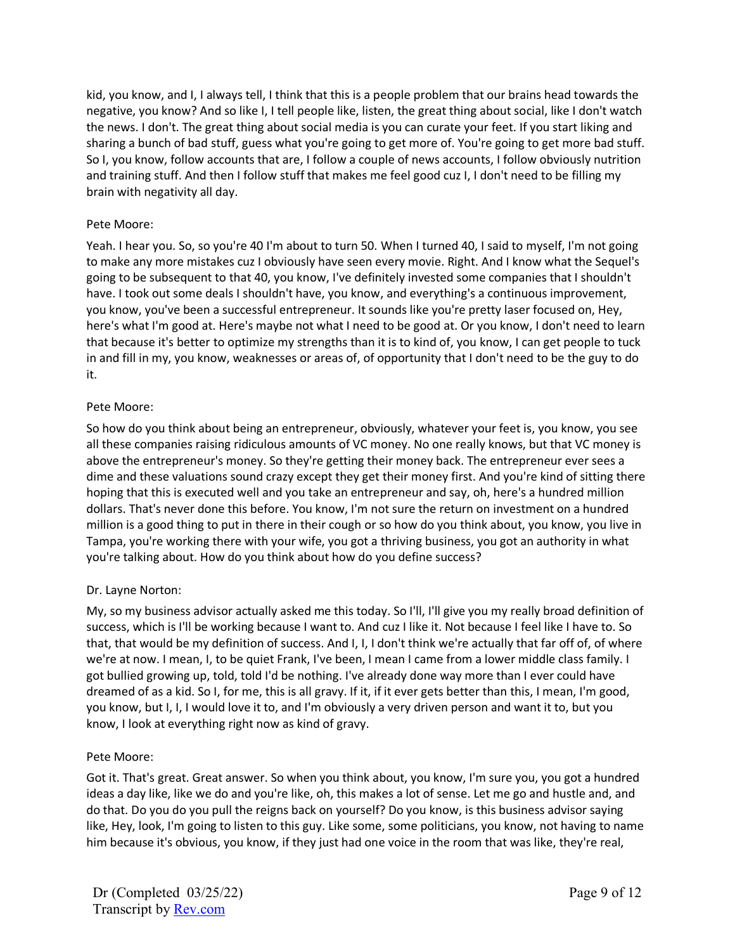kid, you know, and I, I always tell, I think that this is a people problem that our brains head towards the negative, you know? And so like I, I tell people like, listen, the great thing about social, like I don't watch the news. I don't. The great thing about social media is you can curate your feet. If you start liking and sharing a bunch of bad stuff, guess what you're going to get more of. You're going to get more bad stuff. So I, you know, follow accounts that are, I follow a couple of news accounts, I follow obviously nutrition and training stuff. And then I follow stuff that makes me feel good cuz I, I don't need to be filling my brain with negativity all day.

## Pete Moore:

Yeah. I hear you. So, so you're 40 I'm about to turn 50. When I turned 40, I said to myself, I'm not going to make any more mistakes cuz I obviously have seen every movie. Right. And I know what the Sequel's going to be subsequent to that 40, you know, I've definitely invested some companies that I shouldn't have. I took out some deals I shouldn't have, you know, and everything's a continuous improvement, you know, you've been a successful entrepreneur. It sounds like you're pretty laser focused on, Hey, here's what I'm good at. Here's maybe not what I need to be good at. Or you know, I don't need to learn that because it's better to optimize my strengths than it is to kind of, you know, I can get people to tuck in and fill in my, you know, weaknesses or areas of, of opportunity that I don't need to be the guy to do it.

# Pete Moore:

So how do you think about being an entrepreneur, obviously, whatever your feet is, you know, you see all these companies raising ridiculous amounts of VC money. No one really knows, but that VC money is above the entrepreneur's money. So they're getting their money back. The entrepreneur ever sees a dime and these valuations sound crazy except they get their money first. And you're kind of sitting there hoping that this is executed well and you take an entrepreneur and say, oh, here's a hundred million dollars. That's never done this before. You know, I'm not sure the return on investment on a hundred million is a good thing to put in there in their cough or so how do you think about, you know, you live in Tampa, you're working there with your wife, you got a thriving business, you got an authority in what you're talking about. How do you think about how do you define success?

# Dr. Layne Norton:

My, so my business advisor actually asked me this today. So I'll, I'll give you my really broad definition of success, which is I'll be working because I want to. And cuz I like it. Not because I feel like I have to. So that, that would be my definition of success. And I, I, I don't think we're actually that far off of, of where we're at now. I mean, I, to be quiet Frank, I've been, I mean I came from a lower middle class family. I got bullied growing up, told, told I'd be nothing. I've already done way more than I ever could have dreamed of as a kid. So I, for me, this is all gravy. If it, if it ever gets better than this, I mean, I'm good, you know, but I, I, I would love it to, and I'm obviously a very driven person and want it to, but you know, I look at everything right now as kind of gravy.

## Pete Moore:

Got it. That's great. Great answer. So when you think about, you know, I'm sure you, you got a hundred ideas a day like, like we do and you're like, oh, this makes a lot of sense. Let me go and hustle and, and do that. Do you do you pull the reigns back on yourself? Do you know, is this business advisor saying like, Hey, look, I'm going to listen to this guy. Like some, some politicians, you know, not having to name him because it's obvious, you know, if they just had one voice in the room that was like, they're real,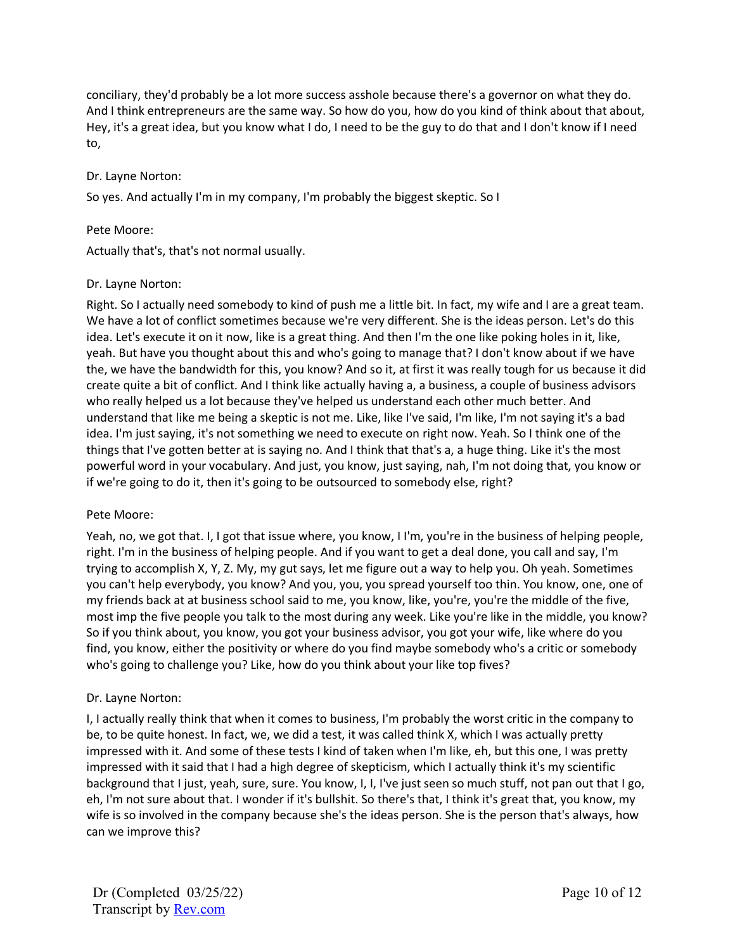conciliary, they'd probably be a lot more success asshole because there's a governor on what they do. And I think entrepreneurs are the same way. So how do you, how do you kind of think about that about, Hey, it's a great idea, but you know what I do, I need to be the guy to do that and I don't know if I need to,

## Dr. Layne Norton:

So yes. And actually I'm in my company, I'm probably the biggest skeptic. So I

## Pete Moore:

Actually that's, that's not normal usually.

# Dr. Layne Norton:

Right. So I actually need somebody to kind of push me a little bit. In fact, my wife and I are a great team. We have a lot of conflict sometimes because we're very different. She is the ideas person. Let's do this idea. Let's execute it on it now, like is a great thing. And then I'm the one like poking holes in it, like, yeah. But have you thought about this and who's going to manage that? I don't know about if we have the, we have the bandwidth for this, you know? And so it, at first it was really tough for us because it did create quite a bit of conflict. And I think like actually having a, a business, a couple of business advisors who really helped us a lot because they've helped us understand each other much better. And understand that like me being a skeptic is not me. Like, like I've said, I'm like, I'm not saying it's a bad idea. I'm just saying, it's not something we need to execute on right now. Yeah. So I think one of the things that I've gotten better at is saying no. And I think that that's a, a huge thing. Like it's the most powerful word in your vocabulary. And just, you know, just saying, nah, I'm not doing that, you know or if we're going to do it, then it's going to be outsourced to somebody else, right?

## Pete Moore:

Yeah, no, we got that. I, I got that issue where, you know, I I'm, you're in the business of helping people, right. I'm in the business of helping people. And if you want to get a deal done, you call and say, I'm trying to accomplish X, Y, Z. My, my gut says, let me figure out a way to help you. Oh yeah. Sometimes you can't help everybody, you know? And you, you, you spread yourself too thin. You know, one, one of my friends back at at business school said to me, you know, like, you're, you're the middle of the five, most imp the five people you talk to the most during any week. Like you're like in the middle, you know? So if you think about, you know, you got your business advisor, you got your wife, like where do you find, you know, either the positivity or where do you find maybe somebody who's a critic or somebody who's going to challenge you? Like, how do you think about your like top fives?

# Dr. Layne Norton:

I, I actually really think that when it comes to business, I'm probably the worst critic in the company to be, to be quite honest. In fact, we, we did a test, it was called think X, which I was actually pretty impressed with it. And some of these tests I kind of taken when I'm like, eh, but this one, I was pretty impressed with it said that I had a high degree of skepticism, which I actually think it's my scientific background that I just, yeah, sure, sure. You know, I, I, I've just seen so much stuff, not pan out that I go, eh, I'm not sure about that. I wonder if it's bullshit. So there's that, I think it's great that, you know, my wife is so involved in the company because she's the ideas person. She is the person that's always, how can we improve this?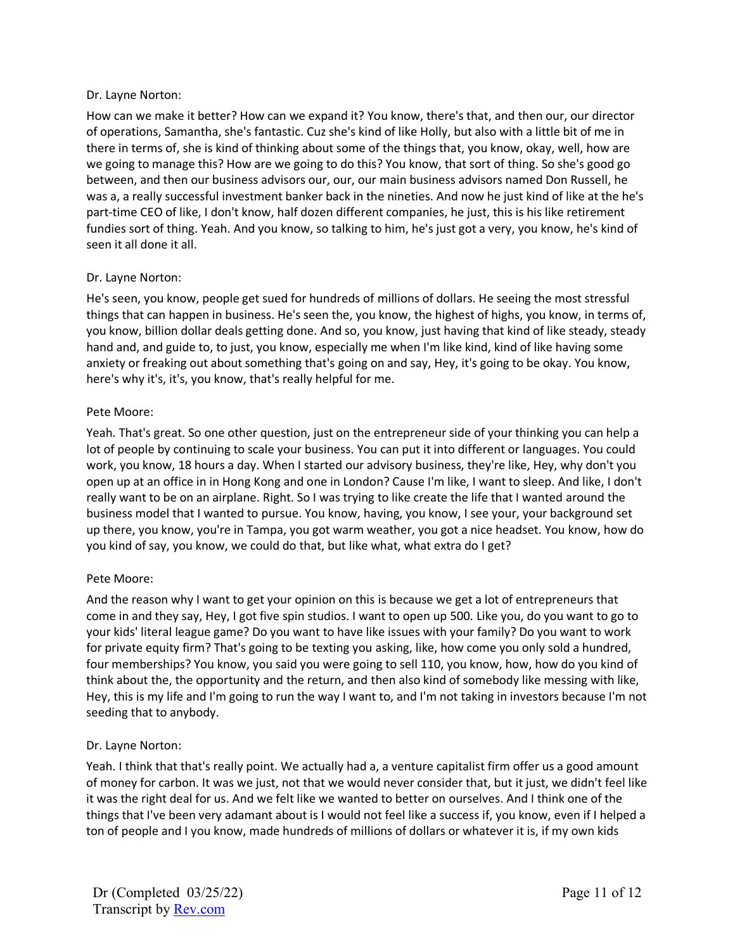## Dr. Layne Norton:

How can we make it better? How can we expand it? You know, there's that, and then our, our director of operations, Samantha, she's fantastic. Cuz she's kind of like Holly, but also with a little bit of me in there in terms of, she is kind of thinking about some of the things that, you know, okay, well, how are we going to manage this? How are we going to do this? You know, that sort of thing. So she's good go between, and then our business advisors our, our, our main business advisors named Don Russell, he was a, a really successful investment banker back in the nineties. And now he just kind of like at the he's part-time CEO of like, I don't know, half dozen different companies, he just, this is his like retirement fundies sort of thing. Yeah. And you know, so talking to him, he's just got a very, you know, he's kind of seen it all done it all.

## Dr. Layne Norton:

He's seen, you know, people get sued for hundreds of millions of dollars. He seeing the most stressful things that can happen in business. He's seen the, you know, the highest of highs, you know, in terms of, you know, billion dollar deals getting done. And so, you know, just having that kind of like steady, steady hand and, and guide to, to just, you know, especially me when I'm like kind, kind of like having some anxiety or freaking out about something that's going on and say, Hey, it's going to be okay. You know, here's why it's, it's, you know, that's really helpful for me.

#### Pete Moore:

Yeah. That's great. So one other question, just on the entrepreneur side of your thinking you can help a lot of people by continuing to scale your business. You can put it into different or languages. You could work, you know, 18 hours a day. When I started our advisory business, they're like, Hey, why don't you open up at an office in in Hong Kong and one in London? Cause I'm like, I want to sleep. And like, I don't really want to be on an airplane. Right. So I was trying to like create the life that I wanted around the business model that I wanted to pursue. You know, having, you know, I see your, your background set up there, you know, you're in Tampa, you got warm weather, you got a nice headset. You know, how do you kind of say, you know, we could do that, but like what, what extra do I get?

## Pete Moore:

And the reason why I want to get your opinion on this is because we get a lot of entrepreneurs that come in and they say, Hey, I got five spin studios. I want to open up 500. Like you, do you want to go to your kids' literal league game? Do you want to have like issues with your family? Do you want to work for private equity firm? That's going to be texting you asking, like, how come you only sold a hundred, four memberships? You know, you said you were going to sell 110, you know, how, how do you kind of think about the, the opportunity and the return, and then also kind of somebody like messing with like, Hey, this is my life and I'm going to run the way I want to, and I'm not taking in investors because I'm not seeding that to anybody.

## Dr. Layne Norton:

Yeah. I think that that's really point. We actually had a, a venture capitalist firm offer us a good amount of money for carbon. It was we just, not that we would never consider that, but it just, we didn't feel like it was the right deal for us. And we felt like we wanted to better on ourselves. And I think one of the things that I've been very adamant about is I would not feel like a success if, you know, even if I helped a ton of people and I you know, made hundreds of millions of dollars or whatever it is, if my own kids